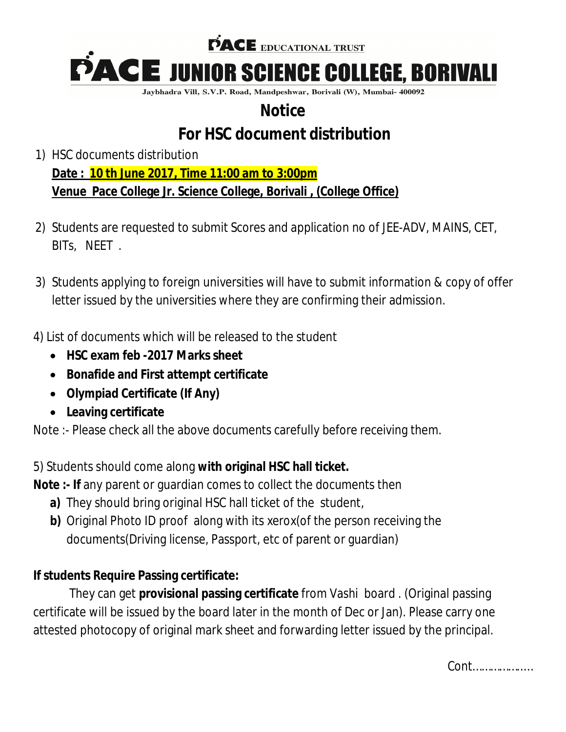

Jaybhadra Vill, S.V.P. Road, Mandpeshwar, Borivali (W), Mumbai- 400092

## **Notice**

# **For HSC document distribution**

- 1) HSC documents distribution **Date : 10 th June 2017, Time 11:00 am to 3:00pm Venue Pace College Jr. Science College, Borivali , (College Office)**
- 2) Students are requested to submit Scores and application no of JEE-ADV, MAINS, CET, BITs, NEET .
- 3) Students applying to foreign universities will have to submit information & copy of offer letter issued by the universities where they are confirming their admission.
- 4) List of documents which will be released to the student
	- **HSC exam feb -2017 Marks sheet**
	- **Bonafide and First attempt certificate**
	- **Olympiad Certificate (If Any)**
	- **Leaving certificate**

Note :- Please check all the above documents carefully before receiving them.

5) Students should come along **with original HSC hall ticket.**

**Note :- If** any parent or guardian comes to collect the documents then

- **a)** They should bring original HSC hall ticket of the student,
- **b)** Original Photo ID proof along with its xerox(of the person receiving the documents(Driving license, Passport, etc of parent or guardian)

#### **If students Require Passing certificate:**

They can get **provisional passing certificate** from Vashi board . (Original passing certificate will be issued by the board later in the month of Dec or Jan). Please carry one attested photocopy of original mark sheet and forwarding letter issued by the principal.